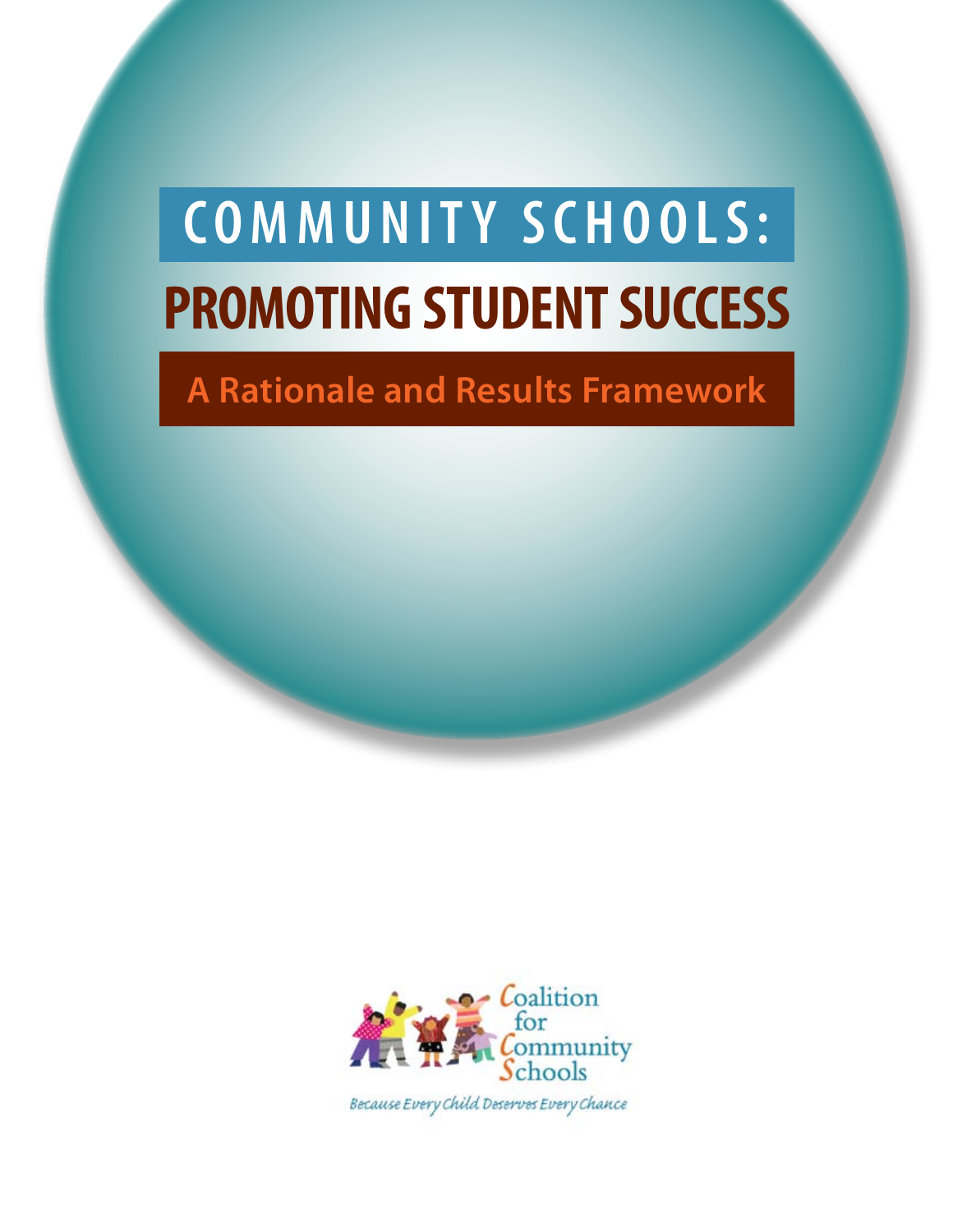# **PROMOTING STUDENT SUCCESS COMMUNITY SCHOOLS:**

# **A Rationale and Results Framework**



Because Every Child Deserves Every Chance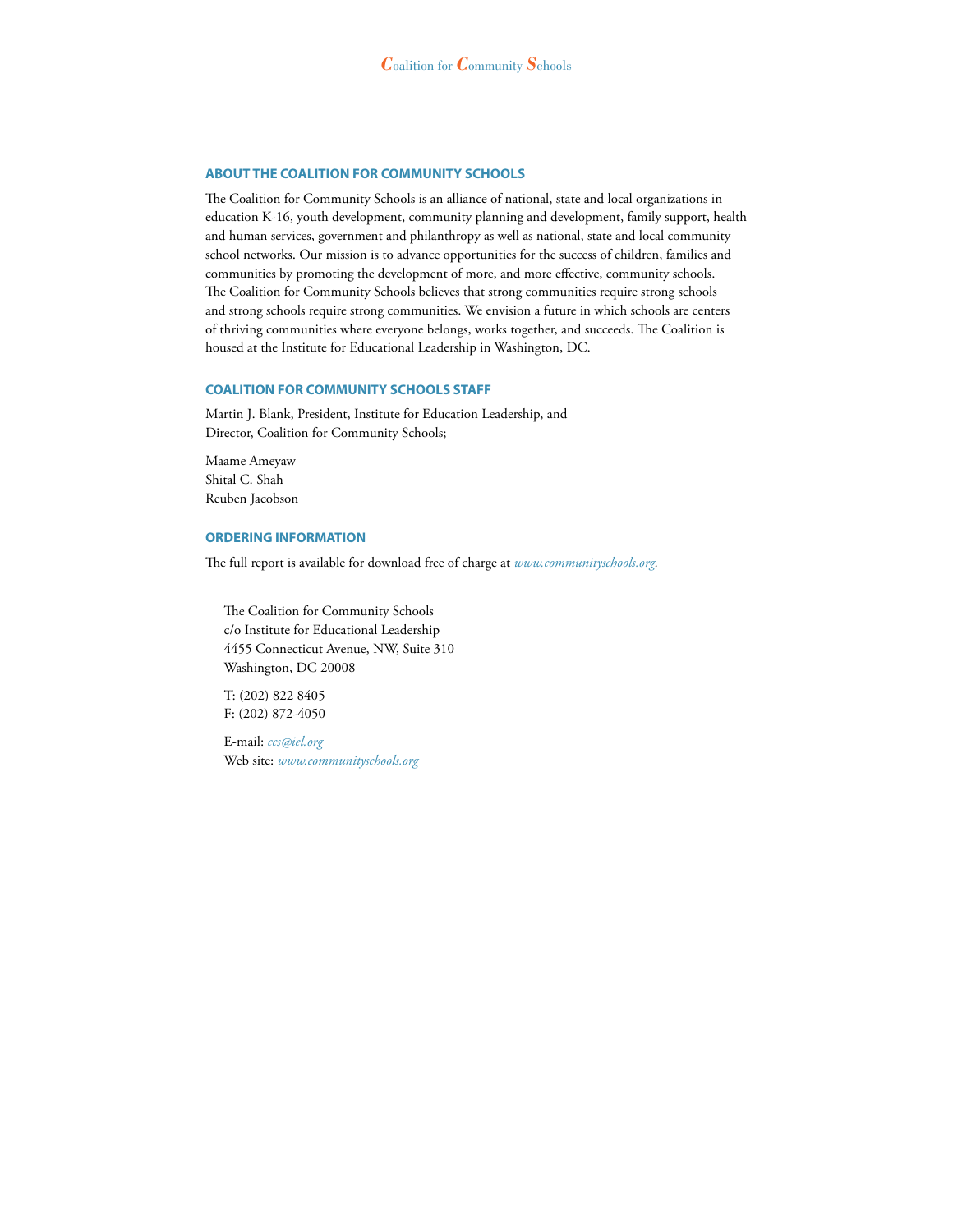#### **ABOUT THE COALITION FOR COMMUNITY SCHOOLS**

The Coalition for Community Schools is an alliance of national, state and local organizations in education K-16, youth development, community planning and development, family support, health and human services, government and philanthropy as well as national, state and local community school networks. Our mission is to advance opportunities for the success of children, families and communities by promoting the development of more, and more effective, community schools. The Coalition for Community Schools believes that strong communities require strong schools and strong schools require strong communities. We envision a future in which schools are centers of thriving communities where everyone belongs, works together, and succeeds. The Coalition is housed at the Institute for Educational Leadership in Washington, DC.

#### **COALITION FOR COMMUNITY SCHOOLS STAFF**

Martin J. Blank, President, Institute for Education Leadership, and Director, Coalition for Community Schools;

Maame Ameyaw Shital C. Shah Reuben Jacobson

#### **ORDERING INFORMATION**

The full report is available for download free of charge at *www.communityschools.org.*

The Coalition for Community Schools c/o Institute for Educational Leadership 4455 Connecticut Avenue, NW, Suite 310 Washington, DC 20008

T: (202) 822 8405 F: (202) 872-4050

E-mail: *ccs@iel.org* Web site: *www.communityschools.org*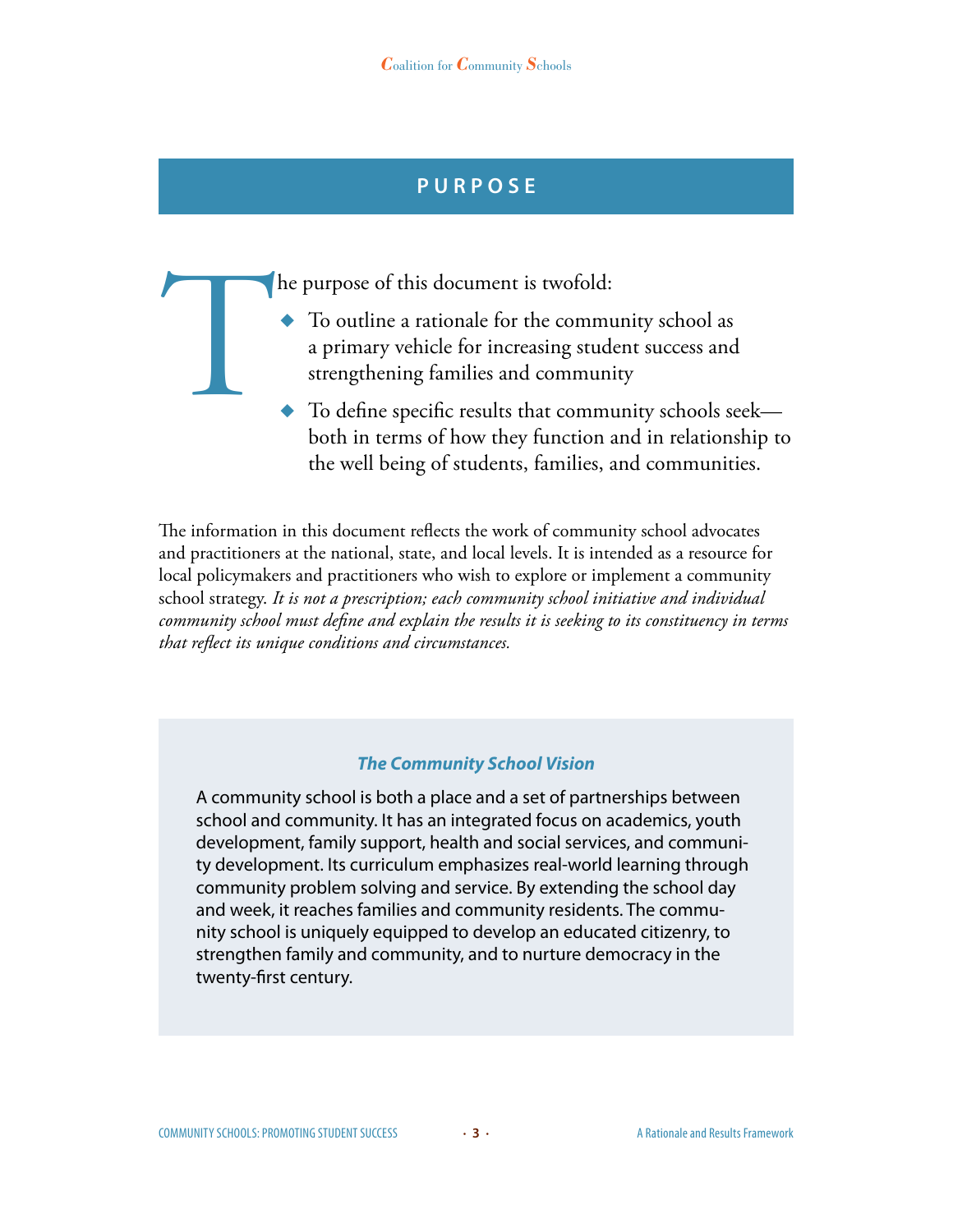# **P u r p o s e**

- To outline a rationale for the community are primary vehicle for increasing stude strengthening families and community To define specific results that community To the specific results that community of  $\frac{1}{2}$ To outline a rationale for the community school as a primary vehicle for increasing student success and strengthening families and community
	- ◆ To define specific results that community schools seek both in terms of how they function and in relationship to the well being of students, families, and communities.

The information in this document reflects the work of community school advocates and practitioners at the national, state, and local levels. It is intended as a resource for local policymakers and practitioners who wish to explore or implement a community school strategy. *It is not a prescription; each community school initiative and individual community school must define and explain the results it is seeking to its constituency in terms that reflect its unique conditions and circumstances.*

### *The Community School Vision*

A community school is both a place and a set of partnerships between school and community. It has an integrated focus on academics, youth development, family support, health and social services, and community development. Its curriculum emphasizes real-world learning through community problem solving and service. By extending the school day and week, it reaches families and community residents. The community school is uniquely equipped to develop an educated citizenry, to strengthen family and community, and to nurture democracy in the twenty-first century.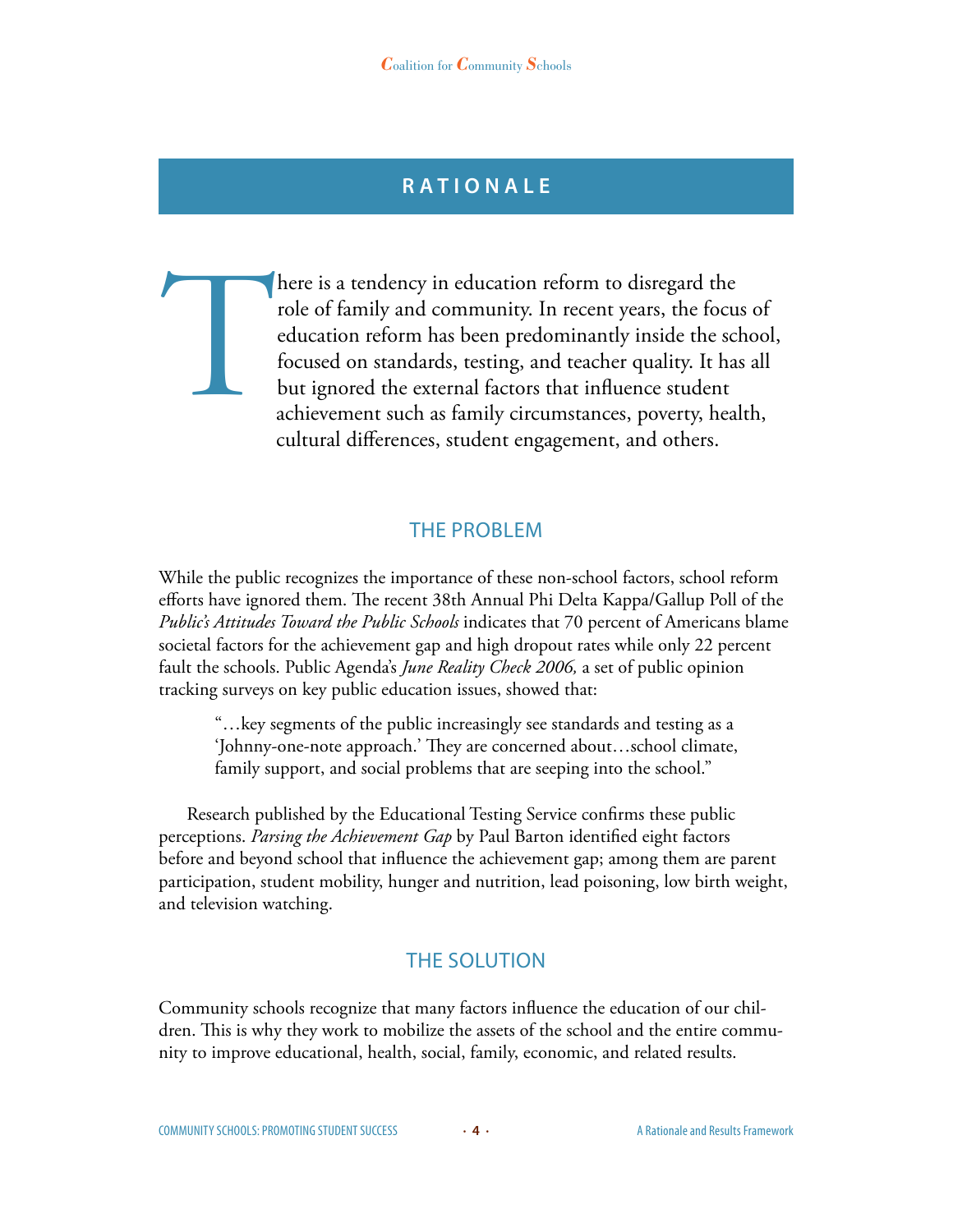# **R a t i o n a l e**

There is a tendency in education reform to disregard the role of family and community. In recent years, the focused concentration reform has been predominantly inside the scl focused on standards, testing, and teacher qual role of family and community. In recent years, the focus of education reform has been predominantly inside the school, focused on standards, testing, and teacher quality. It has all but ignored the external factors that influence student achievement such as family circumstances, poverty, health, cultural differences, student engagement, and others.

## The Problem

While the public recognizes the importance of these non-school factors, school reform efforts have ignored them. The recent 38th Annual Phi Delta Kappa/Gallup Poll of the *Public's Attitudes Toward the Public Schools* indicates that 70 percent of Americans blame societal factors for the achievement gap and high dropout rates while only 22 percent fault the schools. Public Agenda's *June Reality Check 2006,* a set of public opinion tracking surveys on key public education issues, showed that:

"…key segments of the public increasingly see standards and testing as a 'Johnny-one-note approach.' They are concerned about…school climate, family support, and social problems that are seeping into the school."

Research published by the Educational Testing Service confirms these public perceptions. *Parsing the Achievement Gap* by Paul Barton identified eight factors before and beyond school that influence the achievement gap; among them are parent participation, student mobility, hunger and nutrition, lead poisoning, low birth weight, and television watching.

# The Solution

Community schools recognize that many factors influence the education of our children. This is why they work to mobilize the assets of the school and the entire community to improve educational, health, social, family, economic, and related results.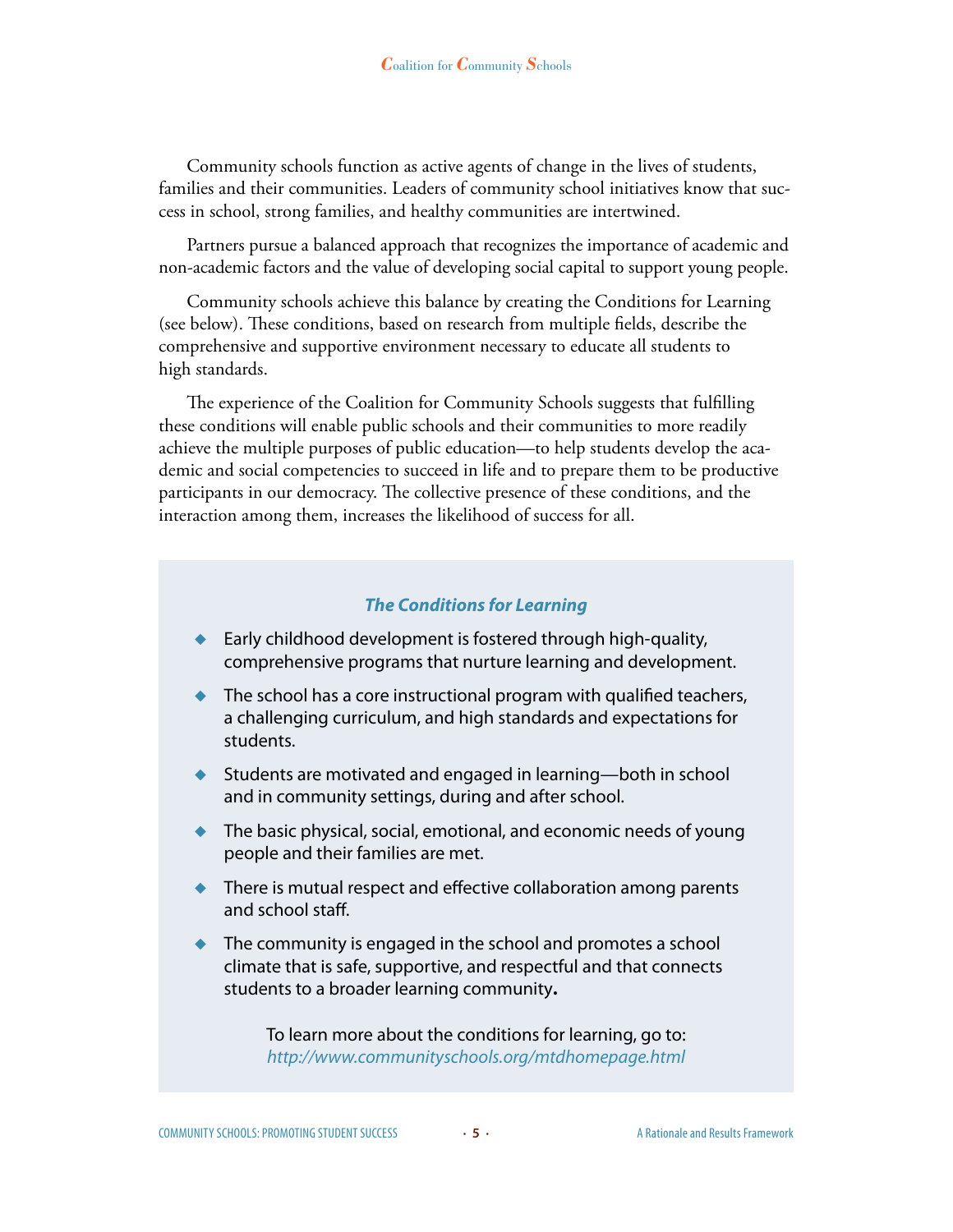Community schools function as active agents of change in the lives of students, families and their communities. Leaders of community school initiatives know that success in school, strong families, and healthy communities are intertwined.

Partners pursue a balanced approach that recognizes the importance of academic and non-academic factors and the value of developing social capital to support young people.

Community schools achieve this balance by creating the Conditions for Learning (see below). These conditions, based on research from multiple fields, describe the comprehensive and supportive environment necessary to educate all students to high standards.

The experience of the Coalition for Community Schools suggests that fulfilling these conditions will enable public schools and their communities to more readily achieve the multiple purposes of public education—to help students develop the academic and social competencies to succeed in life and to prepare them to be productive participants in our democracy. The collective presence of these conditions, and the interaction among them, increases the likelihood of success for all.

#### *The Conditions for Learning*

- ◆ Early childhood development is fostered through high-quality, comprehensive programs that nurture learning and development.
- $\bullet$  The school has a core instructional program with qualified teachers, a challenging curriculum, and high standards and expectations for students.
- Students are motivated and engaged in learning—both in school and in community settings, during and after school.
- ◆ The basic physical, social, emotional, and economic needs of young people and their families are met.
- ◆ There is mutual respect and effective collaboration among parents and school staff.
- $\bullet$  The community is engaged in the school and promotes a school climate that is safe, supportive, and respectful and that connects students to a broader learning community**.**

To learn more about the conditions for learning, go to: *http://www.communityschools.org/mtdhomepage.html*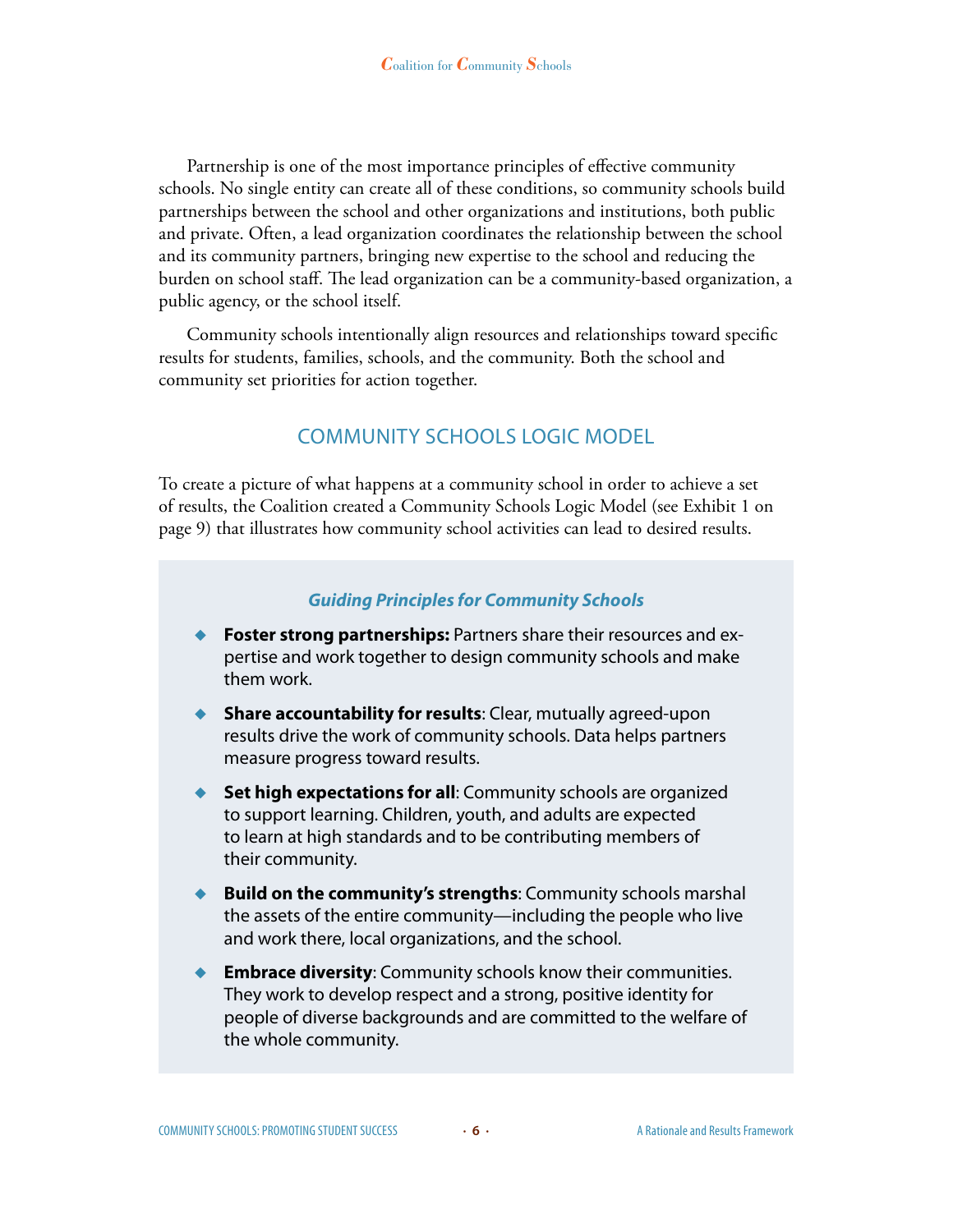Partnership is one of the most importance principles of effective community schools. No single entity can create all of these conditions, so community schools build partnerships between the school and other organizations and institutions, both public and private. Often, a lead organization coordinates the relationship between the school and its community partners, bringing new expertise to the school and reducing the burden on school staff. The lead organization can be a community-based organization, a public agency, or the school itself.

Community schools intentionally align resources and relationships toward specific results for students, families, schools, and the community. Both the school and community set priorities for action together.

# COMMUNITY SCHOOLS LOGIC MODEL

To create a picture of what happens at a community school in order to achieve a set of results, the Coalition created a Community Schools Logic Model (see Exhibit 1 on page 9) that illustrates how community school activities can lead to desired results.

#### *Guiding Principles for Community Schools*

- ◆ **Foster strong partnerships:** Partners share their resources and expertise and work together to design community schools and make them work.
- ◆ **Share accountability for results**: Clear, mutually agreed-upon results drive the work of community schools. Data helps partners measure progress toward results.
- ◆ **Set high expectations for all:** Community schools are organized to support learning. Children, youth, and adults are expected to learn at high standards and to be contributing members of their community.
- ◆ **Build on the community's strengths:** Community schools marshal the assets of the entire community—including the people who live and work there, local organizations, and the school.
- **Embrace diversity:** Community schools know their communities. They work to develop respect and a strong, positive identity for people of diverse backgrounds and are committed to the welfare of the whole community.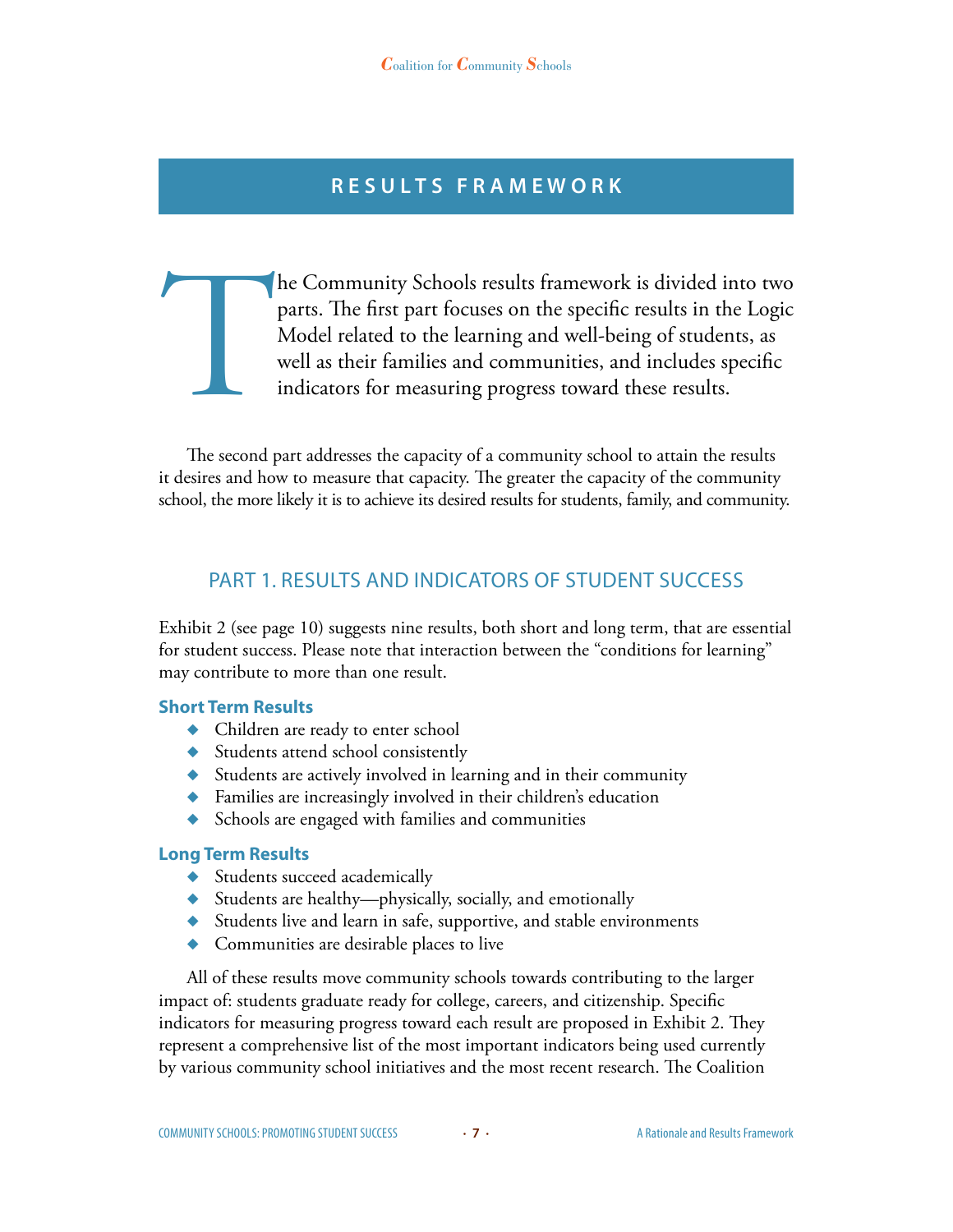# **R e s u l t s F r a m e w o r k**

The Community Schools results framework is divided into two parts. The first part focuses on the specific results in the Logic Model related to the learning and well-being of students, as well as their families and communi parts. The first part focuses on the specific results in the Logic Model related to the learning and well-being of students, as well as their families and communities, and includes specific indicators for measuring progress toward these results.

The second part addresses the capacity of a community school to attain the results it desires and how to measure that capacity. The greater the capacity of the community school, the more likely it is to achieve its desired results for students, family, and community.

## Part 1. RESULTS AND INDICATORS OF Student Success

Exhibit 2 (see page 10) suggests nine results, both short and long term, that are essential for student success. Please note that interaction between the "conditions for learning" may contribute to more than one result.

#### **Short Term Results**

- ◆ Children are ready to enter school
- ◆ Students attend school consistently
- ◆ Students are actively involved in learning and in their community
- ◆ Families are increasingly involved in their children's education
- ◆ Schools are engaged with families and communities

#### **Long Term Results**

- ◆ Students succeed academically
- ◆ Students are healthy—physically, socially, and emotionally
- ◆ Students live and learn in safe, supportive, and stable environments
- ◆ Communities are desirable places to live

All of these results move community schools towards contributing to the larger impact of: students graduate ready for college, careers, and citizenship. Specific indicators for measuring progress toward each result are proposed in Exhibit 2. They represent a comprehensive list of the most important indicators being used currently by various community school initiatives and the most recent research. The Coalition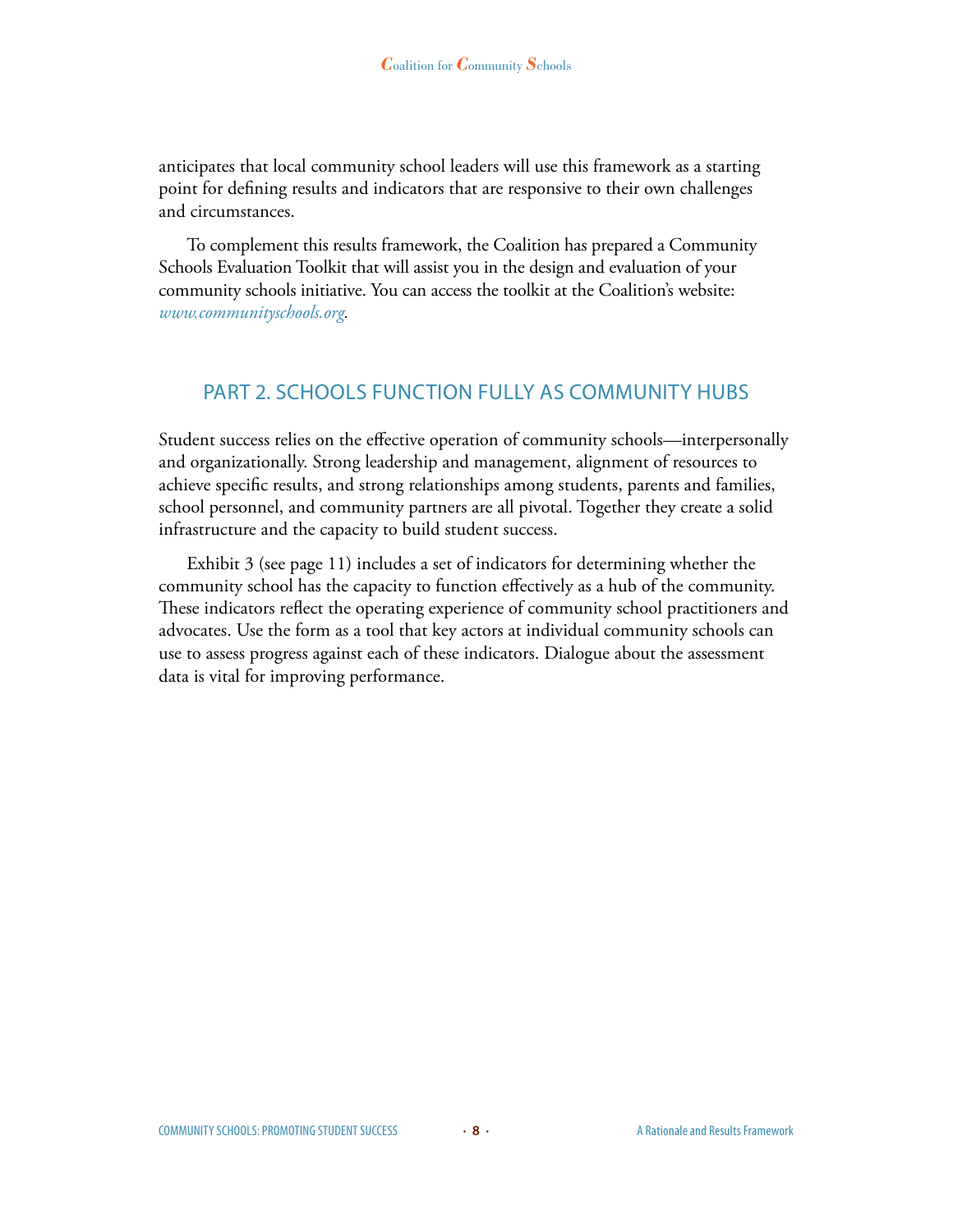anticipates that local community school leaders will use this framework as a starting point for defining results and indicators that are responsive to their own challenges and circumstances.

To complement this results framework, the Coalition has prepared a Community Schools Evaluation Toolkit that will assist you in the design and evaluation of your community schools initiative. You can access the toolkit at the Coalition's website: *www.communityschools.org.*

### Part 2. Schools Function Fully as Community Hubs

Student success relies on the effective operation of community schools—interpersonally and organizationally. Strong leadership and management, alignment of resources to achieve specific results, and strong relationships among students, parents and families, school personnel, and community partners are all pivotal. Together they create a solid infrastructure and the capacity to build student success.

Exhibit 3 (see page 11) includes a set of indicators for determining whether the community school has the capacity to function effectively as a hub of the community. These indicators reflect the operating experience of community school practitioners and advocates. Use the form as a tool that key actors at individual community schools can use to assess progress against each of these indicators. Dialogue about the assessment data is vital for improving performance.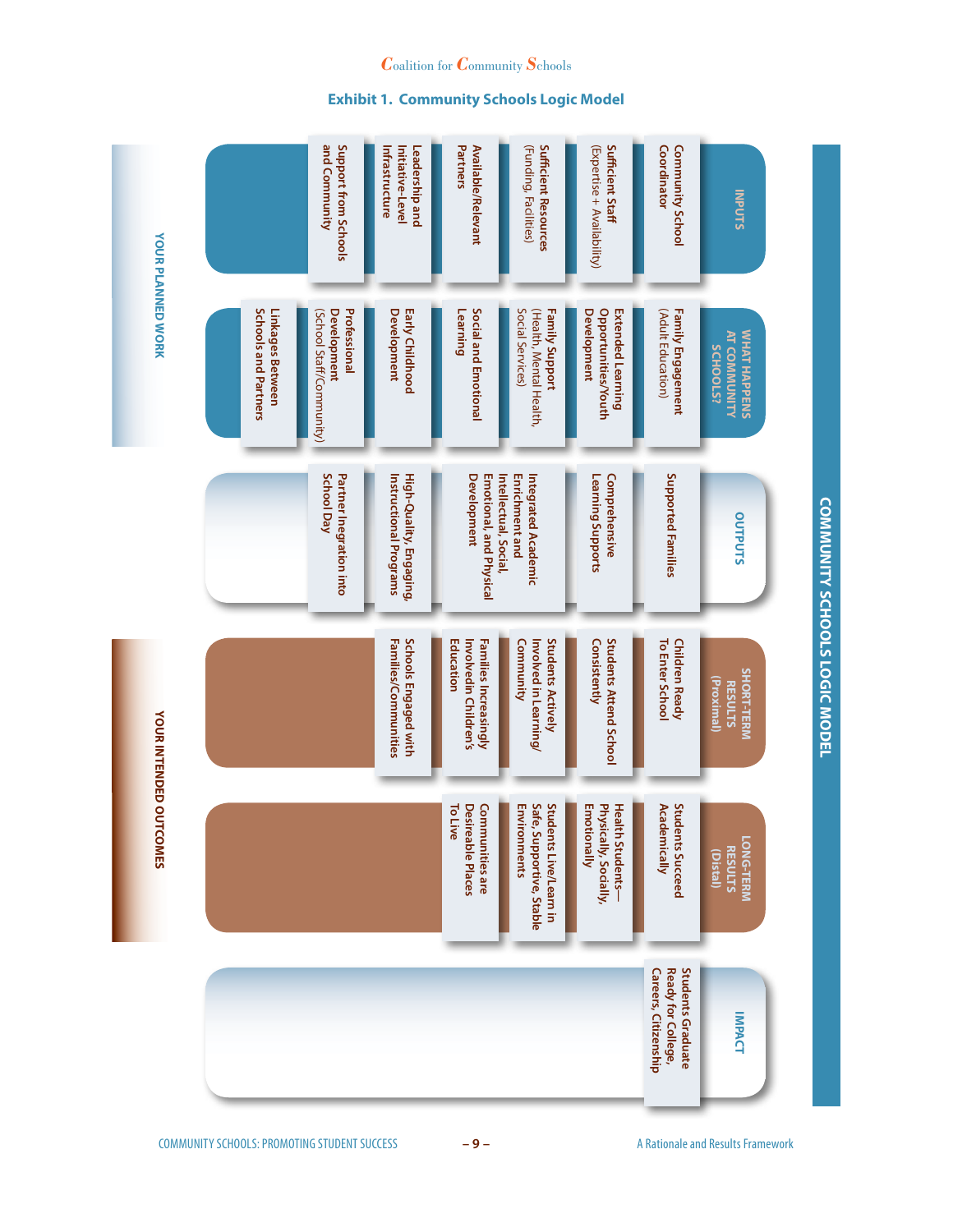|  | י האורואור האורואה ה |  |
|--|----------------------|--|
|  |                      |  |
|  |                      |  |
|  |                      |  |
|  |                      |  |
|  |                      |  |
|  |                      |  |

**YOUR PLANNED WORK**

**VOUR PLANNED WORK** 

|                                          | and Community<br>Support from Schools                          | Leadership and<br>Initiative-Level<br>Infrastructure | Partners<br>Available/Relevant                                                                                        | (Funding, Facilities)<br><b>Sufficient Resources</b>               | Sufficient Staff<br>(Expertise + Availability)                        | Coordinator<br><b>Community School</b>                                 | <b>INPUTS</b>                                          |
|------------------------------------------|----------------------------------------------------------------|------------------------------------------------------|-----------------------------------------------------------------------------------------------------------------------|--------------------------------------------------------------------|-----------------------------------------------------------------------|------------------------------------------------------------------------|--------------------------------------------------------|
| Schools and Partners<br>Linkages Between | Professional<br>(School Staff/Community)<br><b>Development</b> | <b>Development</b><br>Early Childhood                | Social and Emotional<br>Learning                                                                                      | Social Services)<br>(Health, Mental Health,<br>Family Support      | Opportunities/Youth<br><b>Extended Learning</b><br><b>Development</b> | (Adult Education)<br>Family Engagement                                 | WHAT HAPPENS<br><b>AT COMMUNITY</b><br><b>SCHOOLS?</b> |
|                                          | <b>School Day</b><br>Partner Inegration into                   | Instructional Programs<br>High-Quality, Engaging,    | Emotional, and Physical<br>Integrated Academic<br><b>Development</b><br>Intellectual, Social<br><b>Enrichment and</b> |                                                                    | Learning Supports<br>Comprehensive                                    | Supported Families                                                     | <b>OUTPUTS</b>                                         |
|                                          |                                                                | Families/Communities<br>Schools Engaged with         | Education<br>Involvedin Children's<br>Families Increasingly                                                           | Community<br>Involved in Learning/<br><b>Students Actively</b>     | Consistently<br><b>Students Attend School</b>                         | <b>Children Ready</b><br>To Enter School                               | SHORT-TERM<br>(Proximal)<br><b>RESULTS</b>             |
|                                          |                                                                |                                                      | <b>To Live</b><br>Desireable Places<br><b>Communities are</b>                                                         | Environments<br>Safe, Supportive, Stable<br>Students Live/Learn in | Emotionally<br>Physically, Socially,<br><b>Health Students-</b>       | <b>Academically</b><br><b>Students Succeed</b>                         | LONG-TERM<br><b>RESULTS</b><br>[Distal]                |
|                                          |                                                                |                                                      |                                                                                                                       |                                                                    |                                                                       | <b>Students Graduate</b><br>Careers, Citizenship<br>Ready for College, | <b>IMPACT</b>                                          |

#### *C*oalition for *C*ommunity *S*chools

**Exhibit 1. Community Schools Logic Model**

**COMMUNITY SCHOOLS LOGIC MODEL**

**COMMUNITY SCHOOLS LOGIC MODEL**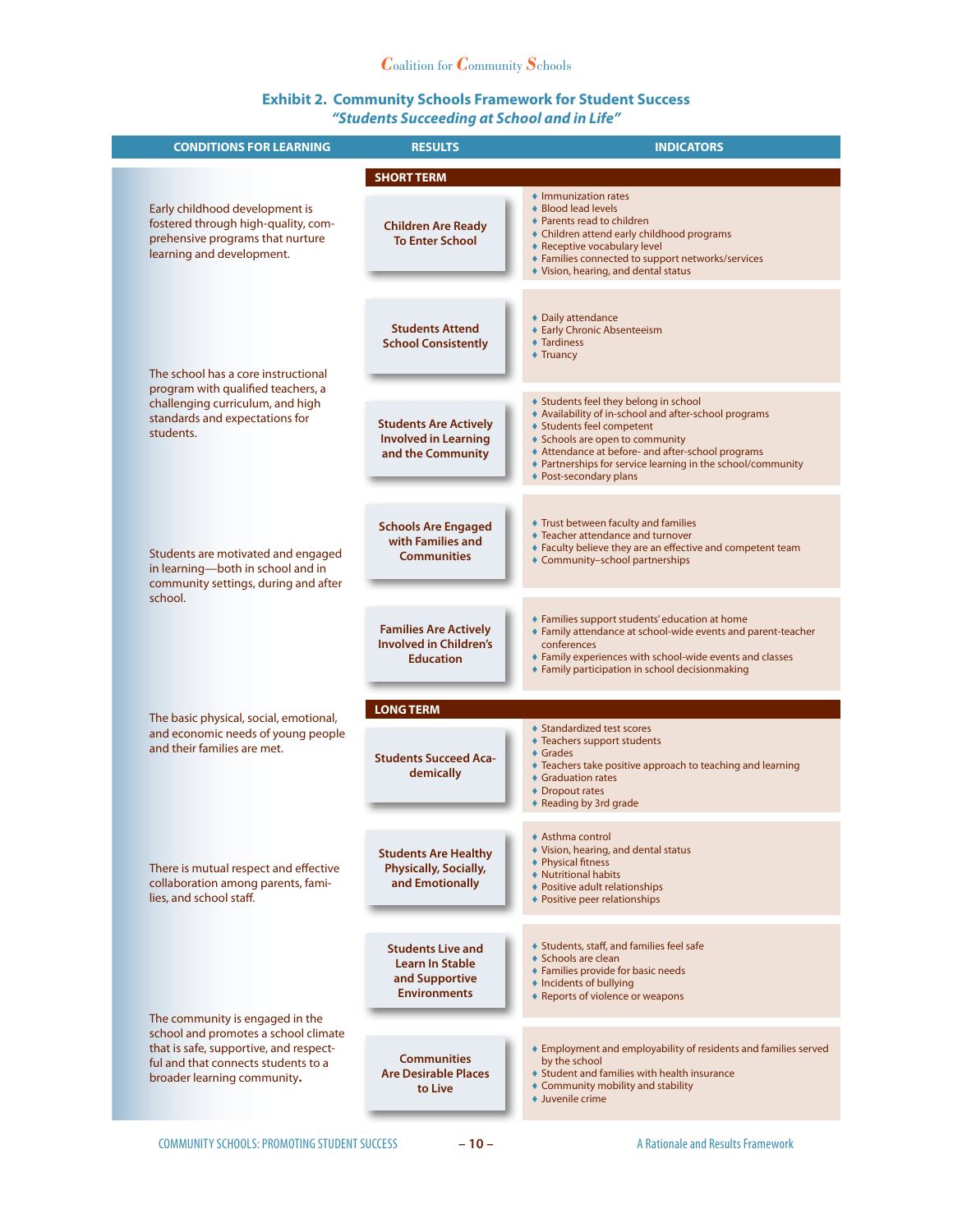#### *C*oalition for *C*ommunity *S*chools

#### **Exhibit 2. Community Schools Framework for Student Success** *"Students Succeeding at School and in Life"*

| <b>CONDITIONS FOR LEARNING</b>                                                                                                                       | <b>RESULTS</b>                                                                              | <b>INDICATORS</b>                                                                                                                                                                                                                                                                                          |
|------------------------------------------------------------------------------------------------------------------------------------------------------|---------------------------------------------------------------------------------------------|------------------------------------------------------------------------------------------------------------------------------------------------------------------------------------------------------------------------------------------------------------------------------------------------------------|
|                                                                                                                                                      | <b>SHORT TERM</b>                                                                           |                                                                                                                                                                                                                                                                                                            |
| Early childhood development is<br>fostered through high-quality, com-<br>prehensive programs that nurture<br>learning and development.               | <b>Children Are Ready</b><br><b>To Enter School</b>                                         | • Immunization rates<br>◆ Blood lead levels<br>♦ Parents read to children<br>◆ Children attend early childhood programs<br>◆ Receptive vocabulary level<br>♦ Families connected to support networks/services<br>♦ Vision, hearing, and dental status                                                       |
| The school has a core instructional                                                                                                                  | <b>Students Attend</b><br><b>School Consistently</b>                                        | ◆ Daily attendance<br>◆ Early Chronic Absenteeism<br><b>◆ Tardiness</b><br>♦ Truancy                                                                                                                                                                                                                       |
| program with qualified teachers, a<br>challenging curriculum, and high<br>standards and expectations for<br>students.                                | <b>Students Are Actively</b><br><b>Involved in Learning</b><br>and the Community            | ♦ Students feel they belong in school<br>Availability of in-school and after-school programs<br>◆ Students feel competent<br>◆ Schools are open to community<br>♦ Attendance at before- and after-school programs<br>♦ Partnerships for service learning in the school/community<br>◆ Post-secondary plans |
| Students are motivated and engaged<br>in learning-both in school and in<br>community settings, during and after<br>school.                           | <b>Schools Are Engaged</b><br>with Families and<br><b>Communities</b>                       | ◆ Trust between faculty and families<br>♦ Teacher attendance and turnover<br>♦ Faculty believe they are an effective and competent team<br>♦ Community-school partnerships                                                                                                                                 |
|                                                                                                                                                      | <b>Families Are Actively</b><br><b>Involved in Children's</b><br><b>Education</b>           | ◆ Families support students' education at home<br>♦ Family attendance at school-wide events and parent-teacher<br>conferences<br>♦ Family experiences with school-wide events and classes<br>◆ Family participation in school decisionmaking                                                               |
|                                                                                                                                                      | <b>LONG TERM</b>                                                                            |                                                                                                                                                                                                                                                                                                            |
| The basic physical, social, emotional,<br>and economic needs of young people<br>and their families are met.                                          | <b>Students Succeed Aca-</b><br>demically                                                   | ♦ Standardized test scores<br>♦ Teachers support students<br>♦ Grades<br>♦ Teachers take positive approach to teaching and learning<br>♦ Graduation rates<br>♦ Dropout rates<br>◆ Reading by 3rd grade                                                                                                     |
| There is mutual respect and effective<br>collaboration among parents, fami-<br>lies, and school staff.                                               | <b>Students Are Healthy</b><br>Physically, Socially,<br>and Emotionally                     | ◆ Asthma control<br>♦ Vision, hearing, and dental status<br>♦ Physical fitness<br>♦ Nutritional habits<br>◆ Positive adult relationships<br>◆ Positive peer relationships                                                                                                                                  |
| The community is engaged in the                                                                                                                      | <b>Students Live and</b><br><b>Learn In Stable</b><br>and Supportive<br><b>Environments</b> | ♦ Students, staff, and families feel safe<br>◆ Schools are clean<br>♦ Families provide for basic needs<br>♦ Incidents of bullying<br>♦ Reports of violence or weapons                                                                                                                                      |
| school and promotes a school climate<br>that is safe, supportive, and respect-<br>ful and that connects students to a<br>broader learning community. | <b>Communities</b><br><b>Are Desirable Places</b><br>to Live                                | ♦ Employment and employability of residents and families served<br>by the school<br>♦ Student and families with health insurance<br>♦ Community mobility and stability<br>• Juvenile crime                                                                                                                 |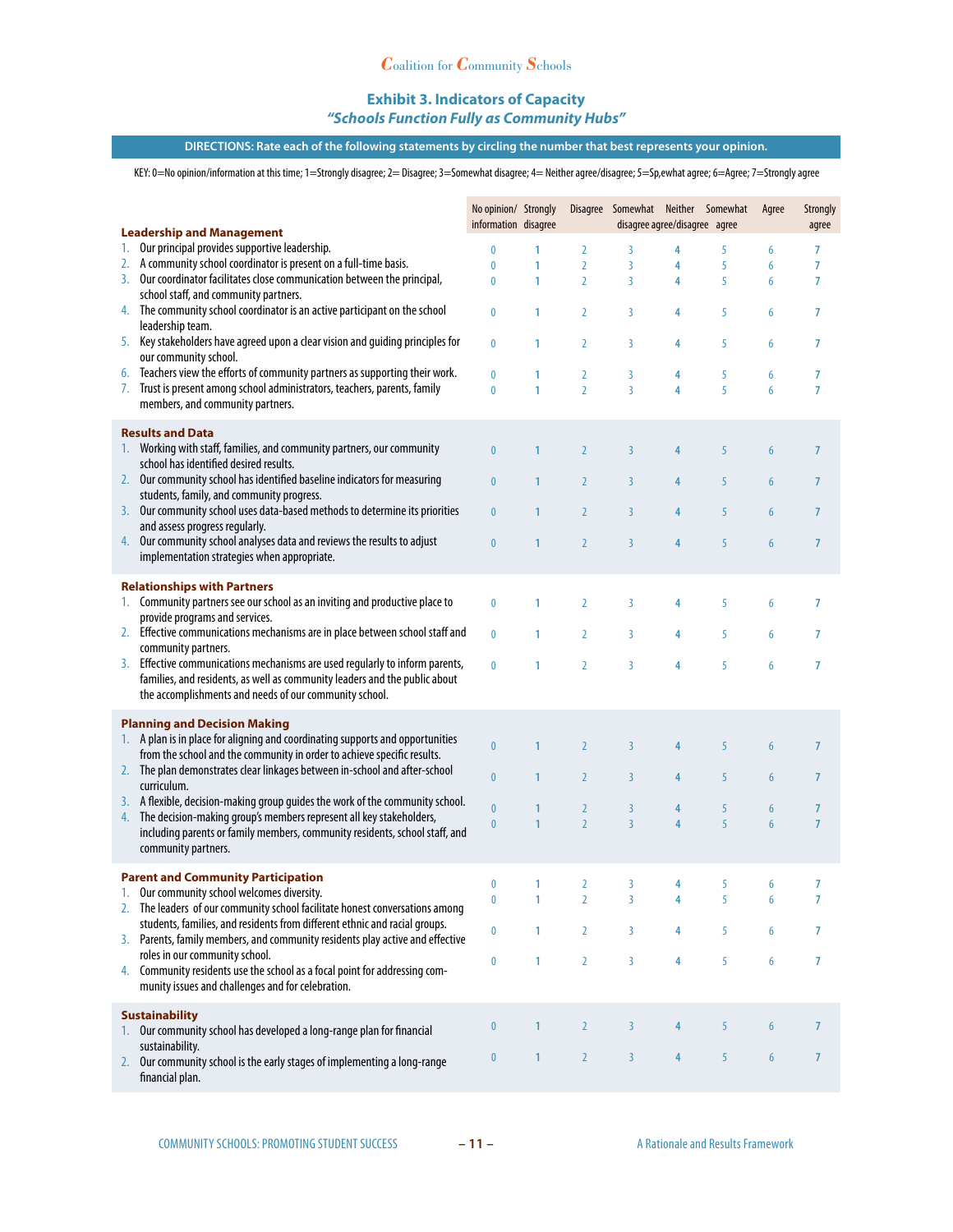#### **Exhibit 3. Indicators of Capacity**

#### *"Schools Function Fully as Community Hubs"*

#### **DIRECTIONS: Rate each of the following statements by circling the number that best represents your opinion.**

KEY: 0=No opinion/information at this time; 1=Strongly disagree; 2= Disagree; 3=Somewhat disagree; 4= Neither agree/disagree; 5=Sp,ewhat agree; 6=Agree; 7=Strongly agree

|                                                                                                                                                              | No opinion/ Strongly<br>information disagree |                   |                                  | Disagree Somewhat Neither Somewhat<br>disagree agree/disagree agree |                         |        | Agree            | <b>Strongly</b><br>agree |
|--------------------------------------------------------------------------------------------------------------------------------------------------------------|----------------------------------------------|-------------------|----------------------------------|---------------------------------------------------------------------|-------------------------|--------|------------------|--------------------------|
| <b>Leadership and Management</b><br>Our principal provides supportive leadership.<br>1.                                                                      |                                              |                   |                                  |                                                                     |                         |        |                  |                          |
| A community school coordinator is present on a full-time basis.<br>2.                                                                                        | 0<br>0                                       | 1<br>$\mathbf{1}$ | $\overline{2}$<br>$\overline{2}$ | 3<br>$\overline{3}$                                                 | 4<br>4                  | 5<br>5 | 6<br>6           | 7<br>7                   |
| Our coordinator facilitates close communication between the principal,<br>3.                                                                                 | 0                                            | 1                 | $\overline{2}$                   | $\overline{3}$                                                      | 4                       | 5      | 6                | 7                        |
| school staff, and community partners.                                                                                                                        |                                              |                   |                                  |                                                                     |                         |        |                  |                          |
| The community school coordinator is an active participant on the school<br>4.<br>leadership team.                                                            | 0                                            | 1                 | $\overline{2}$                   | 3                                                                   | 4                       | 5      | 6                | 7                        |
| Key stakeholders have agreed upon a clear vision and guiding principles for<br>5.<br>our community school.                                                   | 0                                            | 1                 | $\overline{2}$                   | 3                                                                   | 4                       | 5      | 6                | 7                        |
| Teachers view the efforts of community partners as supporting their work.<br>6.                                                                              | 0                                            | 1                 | $\overline{2}$                   | 3                                                                   | 4                       | 5      | 6                | 7                        |
| Trust is present among school administrators, teachers, parents, family<br>7.<br>members, and community partners.                                            | $\mathbf{0}$                                 | $\mathbf{1}$      | $\overline{2}$                   | $\overline{3}$                                                      | $\overline{\mathbf{4}}$ | 5      | 6                | $\overline{7}$           |
| <b>Results and Data</b>                                                                                                                                      |                                              |                   |                                  |                                                                     |                         |        |                  |                          |
| Working with staff, families, and community partners, our community<br>1.<br>school has identified desired results.                                          | $\overline{0}$                               | $\mathbf{1}$      | $\overline{2}$                   | $\overline{3}$                                                      | 4                       | 5      | $\boldsymbol{6}$ | 7                        |
| Our community school has identified baseline indicators for measuring<br>2.<br>students, family, and community progress.                                     | $\mathbf{0}$                                 | $\mathbf{1}$      | $\overline{2}$                   | $\overline{3}$                                                      | 4                       | 5      | 6                | $\overline{7}$           |
| Our community school uses data-based methods to determine its priorities<br>3.<br>and assess progress regularly.                                             | $\pmb{0}$                                    | $\mathbf{1}$      | $\overline{2}$                   | $\overline{3}$                                                      | 4                       | 5      | 6                | $\overline{7}$           |
| Our community school analyses data and reviews the results to adjust<br>4.<br>implementation strategies when appropriate.                                    | $\mathbf{0}$                                 | $\mathbf{1}$      | $\overline{2}$                   | $\overline{3}$                                                      | $\overline{4}$          | 5      | 6                | $\overline{7}$           |
| <b>Relationships with Partners</b><br>Community partners see our school as an inviting and productive place to<br>1.                                         | 0                                            | 1                 | $\overline{2}$                   | $\overline{3}$                                                      | 4                       | 5      | 6                | 7                        |
| provide programs and services.<br>Effective communications mechanisms are in place between school staff and<br>2.                                            | $\mathbf{0}$                                 | 1                 | $\overline{2}$                   | $\overline{3}$                                                      | 4                       | 5      | 6                | 7                        |
| community partners.<br>Effective communications mechanisms are used regularly to inform parents,<br>3.                                                       | 0                                            | 1                 | $\overline{2}$                   | $\overline{3}$                                                      | 4                       | 5      | 6                | $\overline{7}$           |
| families, and residents, as well as community leaders and the public about<br>the accomplishments and needs of our community school.                         |                                              |                   |                                  |                                                                     |                         |        |                  |                          |
| <b>Planning and Decision Making</b>                                                                                                                          |                                              |                   |                                  |                                                                     |                         |        |                  |                          |
| A plan is in place for aligning and coordinating supports and opportunities<br>1.<br>from the school and the community in order to achieve specific results. | $\mathbf{0}$                                 | $\mathbf{1}$      | $\overline{2}$                   | $\overline{3}$                                                      | 4                       | 5      | $6\phantom{a}$   | $\overline{7}$           |
| 2. The plan demonstrates clear linkages between in-school and after-school<br>curriculum.                                                                    | $\mathbf{0}$                                 | $\mathbf{1}$      | $\overline{2}$                   | $\overline{3}$                                                      | 4                       | 5      | 6                | $\overline{7}$           |
| 3. A flexible, decision-making group guides the work of the community school.                                                                                | $\mathbf{0}$                                 | $\mathbf{1}$      | $\overline{2}$                   | $\overline{3}$                                                      | 4                       | 5      | $6\phantom{a}$   | $\overline{7}$           |
| The decision-making group's members represent all key stakeholders,<br>4.                                                                                    | $\mathbf{0}$                                 | $\mathbf{1}$      | $\overline{2}$                   | $\overline{3}$                                                      | $\overline{4}$          | 5      | 6                | $\overline{7}$           |
| including parents or family members, community residents, school staff, and<br>community partners.                                                           |                                              |                   |                                  |                                                                     |                         |        |                  |                          |
| <b>Parent and Community Participation</b>                                                                                                                    |                                              |                   |                                  |                                                                     |                         |        |                  |                          |
| Our community school welcomes diversity.                                                                                                                     | $\mathbf 0$<br>0                             | 1<br>1            | $\overline{2}$<br>2              | 3<br>3                                                              | 4<br>4                  | 5<br>5 | 6<br>6           | 7<br>7                   |
| The leaders of our community school facilitate honest conversations among<br>2.                                                                              |                                              |                   |                                  |                                                                     |                         |        |                  |                          |
| students, families, and residents from different ethnic and racial groups.<br>3. Parents, family members, and community residents play active and effective  | $\mathbf 0$                                  | 1                 | $\overline{2}$                   | 3                                                                   | 4                       | 5      | 6                | 7                        |
| roles in our community school.                                                                                                                               | 0                                            | $\mathbf{1}$      | $\overline{2}$                   | 3                                                                   | 4                       | 5      | 6                | 7                        |
| Community residents use the school as a focal point for addressing com-<br>4.<br>munity issues and challenges and for celebration.                           |                                              |                   |                                  |                                                                     |                         |        |                  |                          |
| <b>Sustainability</b><br>Our community school has developed a long-range plan for financial                                                                  | $\bf{0}$                                     | 1                 | $\overline{2}$                   | 3                                                                   |                         | 5      | $6\phantom{.}6$  | 7                        |
| sustainability.                                                                                                                                              |                                              |                   |                                  |                                                                     |                         |        |                  |                          |
| Our community school is the early stages of implementing a long-range<br>2.<br>financial plan.                                                               | $\pmb{0}$                                    | $\mathbf{1}$      | $\overline{2}$                   | $\overline{3}$                                                      | 4                       | 5      | $6\phantom{a}$   | $\overline{7}$           |